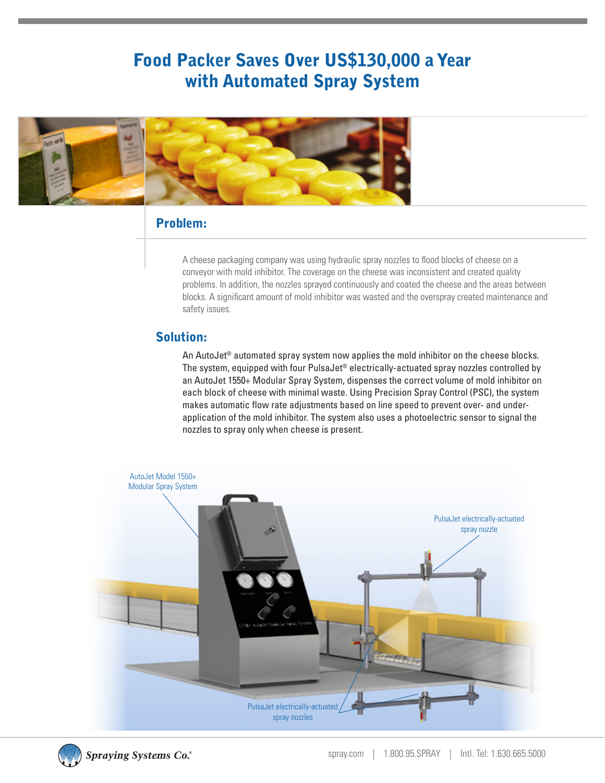## Food Packer Saves Over US\$130,000 a Year with Automated Spray System



#### Problem:

A cheese packaging company was using hydraulic spray nozzles to flood blocks of cheese on a conveyor with mold inhibitor. The coverage on the cheese was inconsistent and created quality problems. In addition, the nozzles sprayed continuously and coated the cheese and the areas between blocks. A significant amount of mold inhibitor was wasted and the overspray created maintenance and safety issues.

#### Solution:

An AutoJet<sup>®</sup> automated spray system now applies the mold inhibitor on the cheese blocks. The system, equipped with four PulsaJet® electrically-actuated spray nozzles controlled by an AutoJet 1550+ Modular Spray System, dispenses the correct volume of mold inhibitor on each block of cheese with minimal waste. Using Precision Spray Control (PSC), the system makes automatic flow rate adjustments based on line speed to prevent over- and underapplication of the mold inhibitor. The system also uses a photoelectric sensor to signal the nozzles to spray only when cheese is present.





**Spraying Systems Co.**®